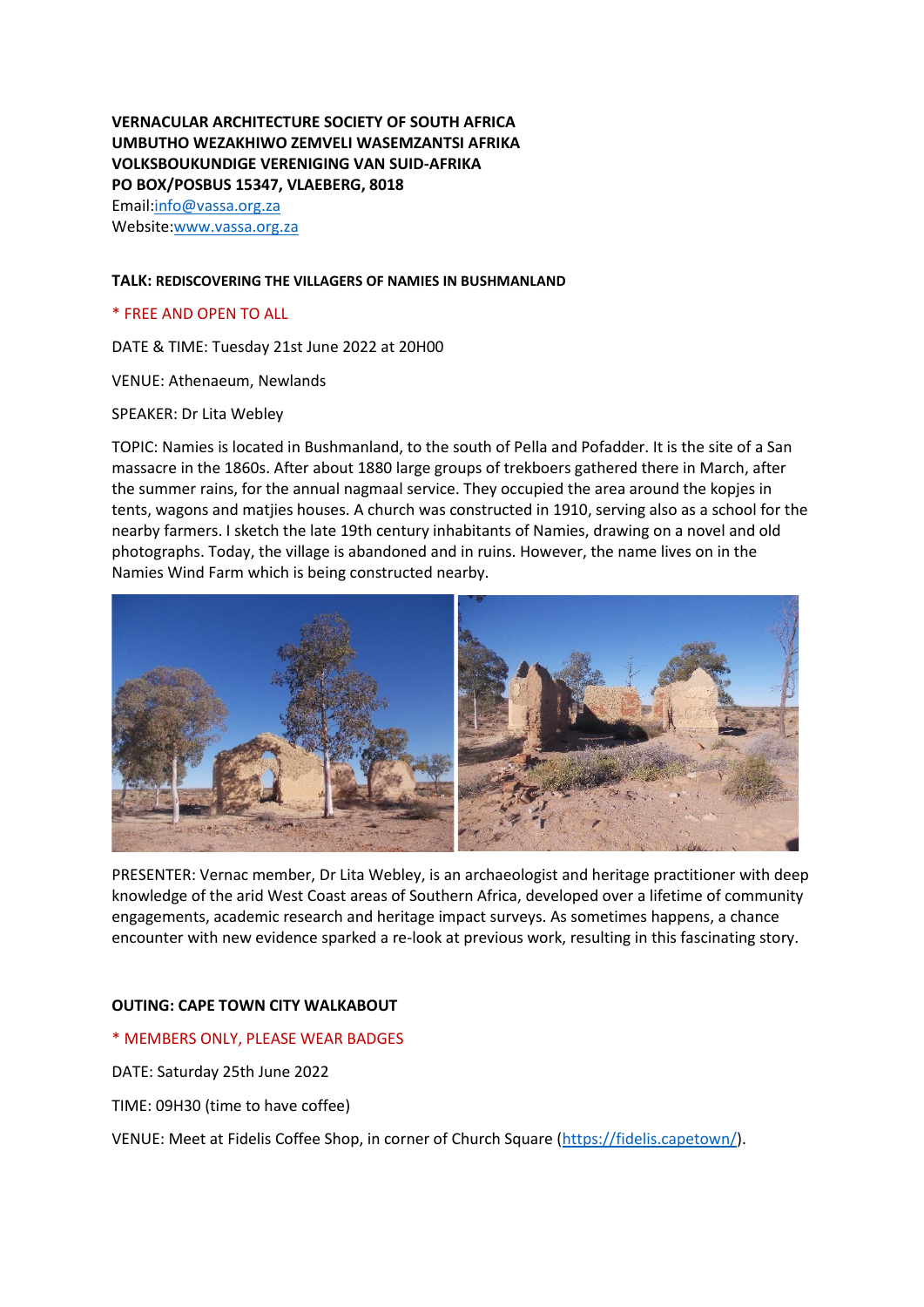**VERNACULAR ARCHITECTURE SOCIETY OF SOUTH AFRICA UMBUTHO WEZAKHIWO ZEMVELI WASEMZANTSI AFRIKA VOLKSBOUKUNDIGE VERENIGING VAN SUID-AFRIKA PO BOX/POSBUS 15347, VLAEBERG, 8018** Email[:info@vassa.org.za](mailto:info@vassa.org.za) Website[:www.vassa.org.za](http://www.vassa.org.za/)

# **TALK: REDISCOVERING THE VILLAGERS OF NAMIES IN BUSHMANLAND**

# \* FREE AND OPEN TO ALL

DATE & TIME: Tuesday 21st June 2022 at 20H00

VENUE: Athenaeum, Newlands

#### SPEAKER: Dr Lita Webley

TOPIC: Namies is located in Bushmanland, to the south of Pella and Pofadder. It is the site of a San massacre in the 1860s. After about 1880 large groups of trekboers gathered there in March, after the summer rains, for the annual nagmaal service. They occupied the area around the kopjes in tents, wagons and matjies houses. A church was constructed in 1910, serving also as a school for the nearby farmers. I sketch the late 19th century inhabitants of Namies, drawing on a novel and old photographs. Today, the village is abandoned and in ruins. However, the name lives on in the Namies Wind Farm which is being constructed nearby.



PRESENTER: Vernac member, Dr Lita Webley, is an archaeologist and heritage practitioner with deep knowledge of the arid West Coast areas of Southern Africa, developed over a lifetime of community engagements, academic research and heritage impact surveys. As sometimes happens, a chance encounter with new evidence sparked a re-look at previous work, resulting in this fascinating story.

## **OUTING: CAPE TOWN CITY WALKABOUT**

## \* MEMBERS ONLY, PLEASE WEAR BADGES

DATE: Saturday 25th June 2022

TIME: 09H30 (time to have coffee)

VENUE: Meet at Fidelis Coffee Shop, in corner of Church Square [\(https://fidelis.capetown/\)](https://fidelis.capetown/).